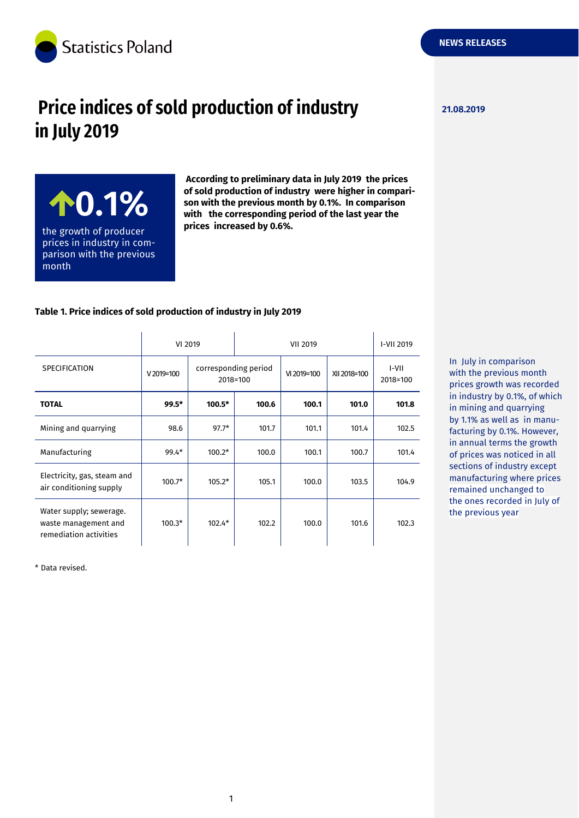

# **Price indices of sold production of industry Price indices of sold production of industry in July 2019**

**0.1%** the growth of producer prices in industry in comparison with the previous month

**According to preliminary data in July 2019 the prices of sold production of industry were higher in comparison with the previous month by 0.1%. In comparison with the corresponding period of the last year the prices increased by 0.6%.**

#### **Table 1. Price indices of sold production of industry in July 2019**

|                                                                           | VI 2019     |                                  | <b>VII 2019</b> |             |              | I-VII 2019        |
|---------------------------------------------------------------------------|-------------|----------------------------------|-----------------|-------------|--------------|-------------------|
| <b>SPECIFICATION</b>                                                      | $V2019=100$ | corresponding period<br>2018=100 |                 | VI 2019=100 | XII 2018=100 | I-VII<br>2018=100 |
| <b>TOTAL</b>                                                              | $99.5*$     | $100.5*$                         | 100.6           | 100.1       | 101.0        | 101.8             |
| Mining and quarrying                                                      | 98.6        | $97.7*$                          | 101.7           | 101.1       | 101.4        | 102.5             |
| Manufacturing                                                             | $99.4*$     | $100.2*$                         | 100.0           | 100.1       | 100.7        | 101.4             |
| Electricity, gas, steam and<br>air conditioning supply                    | $100.7*$    | $105.2*$                         | 105.1           | 100.0       | 103.5        | 104.9             |
| Water supply; sewerage.<br>waste management and<br>remediation activities | $100.3*$    | $102.4*$                         | 102.2           | 100.0       | 101.6        | 102.3             |

\* Data revised.

In July in comparison with the previous month prices growth was recorded in industry by 0.1%, of which in mining and quarrying by 1.1% as well as in manufacturing by 0.1%. However, in annual terms the growth of prices was noticed in all sections of industry except manufacturing where prices remained unchanged to the ones recorded in July of the previous year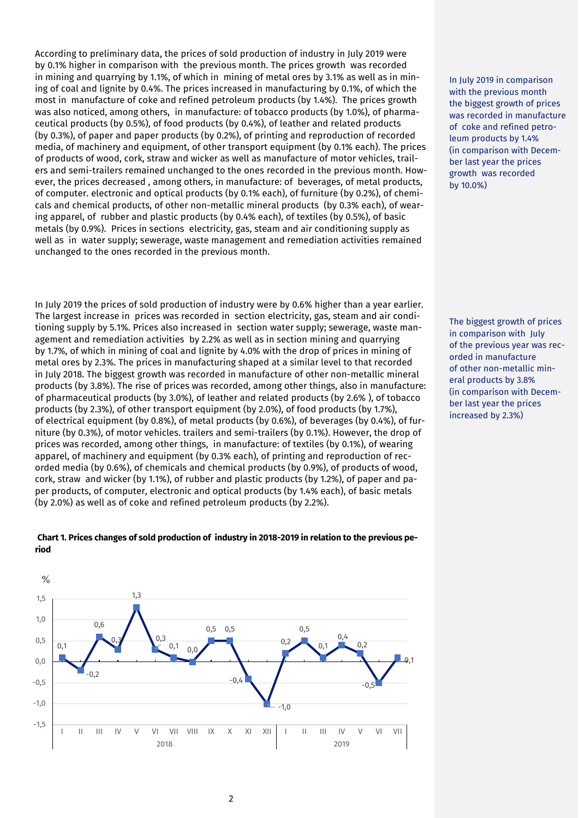According to preliminary data, the prices of sold production of industry in July 2019 were by 0.1% higher in comparison with the previous month. The prices growth was recorded in mining and quarrying by 1.1%, of which in mining of metal ores by 3.1% as well as in mining of coal and lignite by 0.4%. The prices increased in manufacturing by 0.1%, of which the most in manufacture of coke and refined petroleum products (by 1.4%). The prices growth was also noticed, among others, in manufacture: of tobacco products (by 1.0%), of pharmaceutical products (by 0.5%), of food products (by 0.4%), of leather and related products (by 0.3%), of paper and paper products (by 0.2%), of printing and reproduction of recorded media, of machinery and equipment, of other transport equipment (by 0.1% each). The prices of products of wood, cork, straw and wicker as well as manufacture of motor vehicles, trailers and semi-trailers remained unchanged to the ones recorded in the previous month. However, the prices decreased , among others, in manufacture: of beverages, of metal products, of computer. electronic and optical products (by 0.1% each), of furniture (by 0.2%), of chemicals and chemical products, of other non-metallic mineral products (by 0.3% each), of wearing apparel, of rubber and plastic products (by 0.4% each), of textiles (by 0.5%), of basic metals (by 0.9%). Prices in sections electricity, gas, steam and air conditioning supply as well as in water supply; sewerage, waste management and remediation activities remained unchanged to the ones recorded in the previous month.

In July 2019 the prices of sold production of industry were by 0.6% higher than a year earlier. The largest increase in prices was recorded in section electricity, gas, steam and air conditioning supply by 5.1%. Prices also increased in section water supply; sewerage, waste management and remediation activities by 2.2% as well as in section mining and quarrying by 1.7%, of which in mining of coal and lignite by 4.0% with the drop of prices in mining of metal ores by 2.3%. The prices in manufacturing shaped at a similar level to that recorded in July 2018. The biggest growth was recorded in manufacture of other non-metallic mineral products (by 3.8%). The rise of prices was recorded, among other things, also in manufacture: of pharmaceutical products (by 3.0%), of leather and related products (by 2.6% ), of tobacco products (by 2.3%), of other transport equipment (by 2.0%), of food products (by 1.7%), of electrical equipment (by 0.8%), of metal products (by 0.6%), of beverages (by 0.4%), of furniture (by 0.3%), of motor vehicles. trailers and semi-trailers (by 0.1%). However, the drop of prices was recorded, among other things, in manufacture: of textiles (by 0.1%), of wearing apparel, of machinery and equipment (by 0.3% each), of printing and reproduction of recorded media (by 0.6%), of chemicals and chemical products (by 0.9%), of products of wood, cork, straw and wicker (by 1.1%), of rubber and plastic products (by 1.2%), of paper and paper products, of computer, electronic and optical products (by 1.4% each), of basic metals (by 2.0%) as well as of coke and refined petroleum products (by 2.2%).

 $%$ 1,3 1,5 1,0 0,6 0,5 0,5 0,5 0,3 0,4 0,5 0,3 0,2  $0,1$  0 0 0,1  $0.2$ 0,1 0,1 0,0  $-0,2$ -0,4 -0,5 -0,5 -1,0  $1.0$ -1,5 I II III IV V VI VII VIII IX X XI XII I II III IV V VI VII 2018 2019

#### **Chart 1. Prices changes of sold production of industry in 2018-2019 in relation to the previous period**

In July 2019 in comparison with the previous month the biggest growth of prices was recorded in manufacture of coke and refined petroleum products by 1.4% (in comparison with December last year the prices growth was recorded by 10.0%)

The biggest growth of prices in comparison with July of the previous year was recorded in manufacture of other non-metallic mineral products by 3.8% (in comparison with December last year the prices increased by 2.3%)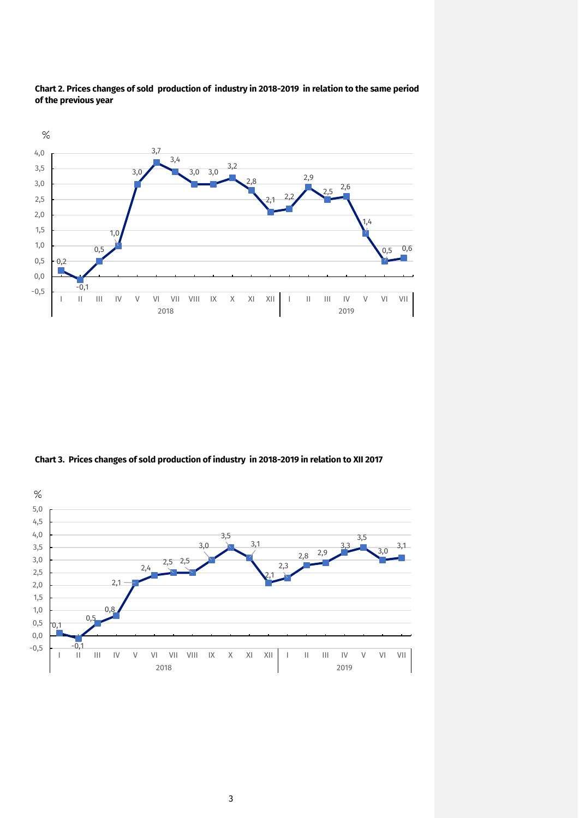



**Chart 3. Prices changes of sold production of industry in 2018-2019 in relation to XII 2017**

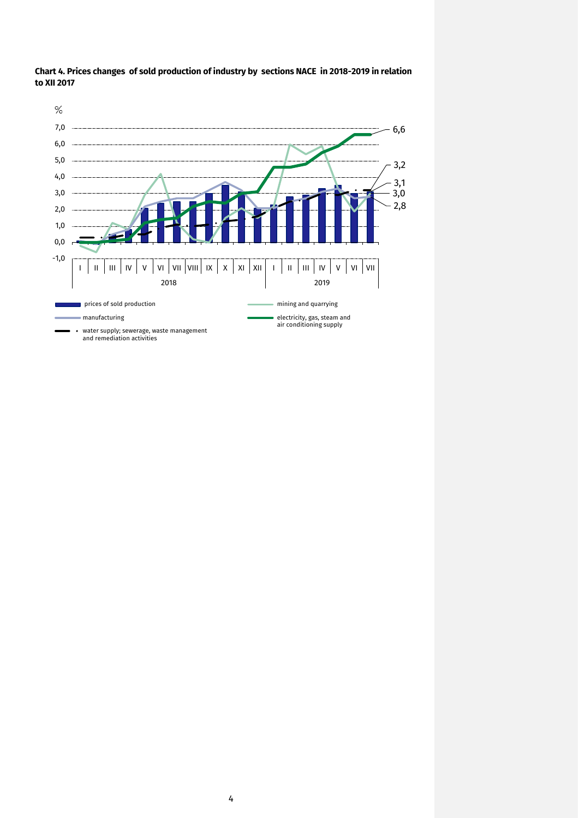

**Chart 4. Prices changes of sold production of industry by sections NACE in 2018-2019 in relation to XII 2017**